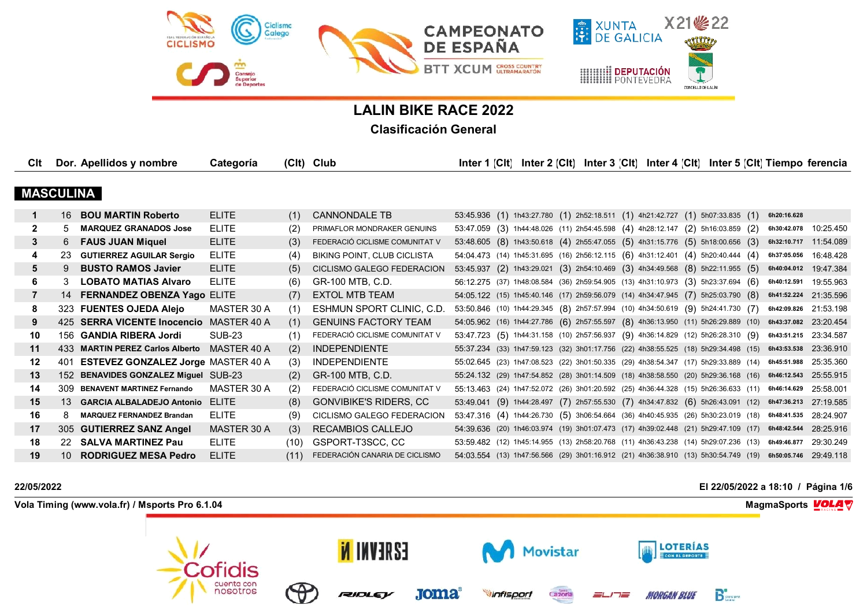

# **LALIN BIKE RACE 2022**

## **Clasificación General**

| Clt              |                 | Dor. Apellidos y nombre                   | Categoría     |      | (Clt) Club                         | Inter 1 $ CH $ |  |  |  |                                                                                                | Inter 2 [CIt] Inter 3 [CIt] Inter 4 [CIt] Inter 5 [CIt] Tiempo ferencia                                  |           |
|------------------|-----------------|-------------------------------------------|---------------|------|------------------------------------|----------------|--|--|--|------------------------------------------------------------------------------------------------|----------------------------------------------------------------------------------------------------------|-----------|
|                  |                 |                                           |               |      |                                    |                |  |  |  |                                                                                                |                                                                                                          |           |
| <b>MASCULINA</b> |                 |                                           |               |      |                                    |                |  |  |  |                                                                                                |                                                                                                          |           |
| $\mathbf 1$      | 16              | <b>BOU MARTIN Roberto</b>                 | <b>ELITE</b>  | (1)  | <b>CANNONDALE TB</b>               |                |  |  |  | 53:45.936 (1) 1h43:27.780 (1) 2h52:18.511 (1) 4h21:42.727 (1) 5h07:33.835 (1)                  | 6h20:16.628                                                                                              |           |
| 2                | 5               | <b>MARQUEZ GRANADOS Jose</b>              | <b>ELITE</b>  | (2)  | PRIMAFLOR MONDRAKER GENUINS        |                |  |  |  | 53:47.059 (3) 1h44:48.026 (11) 2h54:45.598 (4) 4h28:12.147 (2) 5h16:03.859 (2)                 | 6h30:42.078 10:25.450                                                                                    |           |
| 3                | 6               | <b>FAUS JUAN Miquel</b>                   | <b>ELITE</b>  | (3)  | FEDERACIÓ CICLISME COMUNITAT V     |                |  |  |  | 53:48.605 (8) 1h43:50.618 (4) 2h55:47.055 (5) 4h31:15.776 (5) 5h18:00.656 (3)                  | 6h32:10.717                                                                                              | 11:54.089 |
| 4                | -23             | <b>GUTIERREZ AGUILAR Sergio</b>           | <b>ELITE</b>  | (4)  | <b>BIKING POINT, CLUB CICLISTA</b> |                |  |  |  | 54:04.473 (14) 1h45:31.695 (16) 2h56:12.115 (6) 4h31:12.401 (4) 5h20:40.444 (4)                | 6h37:05.056                                                                                              | 16:48.428 |
| 5                | 9               | <b>BUSTO RAMOS Javier</b>                 | <b>ELITE</b>  | (5)  | CICLISMO GALEGO FEDERACION         |                |  |  |  | 53:45.937 (2) 1h43:29.021 (3) 2h54:10.469 (3) 4h34:49.568 (8) 5h22:11.955 (5)                  | 6h40:04.012                                                                                              | 19:47.384 |
| 6                | 3               | <b>LOBATO MATIAS Alvaro</b>               | <b>ELITE</b>  | (6)  | GR-100 MTB, C.D.                   |                |  |  |  | 56:12.275 (37) 1h48:08.584 (36) 2h59:54.905 (13) 4h31:10.973 (3) 5h23:37.694 (6)               | 6h40:12.591                                                                                              | 19:55.963 |
| 7                | 14              | FERNANDEZ OBENZA Yago ELITE               |               | (7)  | <b>EXTOL MTB TEAM</b>              |                |  |  |  | 54:05.122 (15) 1h45:40.146 (17) 2h59:56.079 (14) 4h34:47.945 (7) 5h25:03.790 (8)               | 6h41:52.224                                                                                              | 21:35.596 |
| 8                |                 | 323 FUENTES OJEDA Alejo                   | MASTER 30 A   | (1)  | ESHMUN SPORT CLINIC, C.D.          |                |  |  |  | 53:50.846 (10) 1h44:29.345 (8) 2h57:57.994 (10) 4h34:50.619 (9) 5h24:41.730 (7)                | 6h42:09.826 21:53.198                                                                                    |           |
| 9                |                 | 425 SERRA VICENTE Inocencio MASTER 40 A   |               | (1)  | <b>GENUINS FACTORY TEAM</b>        |                |  |  |  |                                                                                                | 54:05.962 (16) 1h44:27.786 (6) 2h57:55.597 (8) 4h36:13.950 (11) 5h26:29.889 (10) 6h43:37.082 23:20.454   |           |
| 10               |                 | 156 GANDIA RIBERA Jordi                   | <b>SUB-23</b> | (1)  | FEDERACIÓ CICLISME COMUNITAT V     |                |  |  |  | 53:47.723 (5) 1h44:31.158 (10) 2h57:56.937 (9) 4h36:14.829 (12) 5h26:28.310 (9)                | 6h43:51.215                                                                                              | 23:34.587 |
| 11               |                 | 433 MARTIN PEREZ Carlos Alberto           | MASTER 40 A   | (2)  | <b>INDEPENDIENTE</b>               |                |  |  |  |                                                                                                | 55:37.234 (33) 1h47:59.123 (32) 3h01:17.756 (22) 4h38:55.525 (18) 5h29:34.498 (15) 6h43:53.538 23:36.910 |           |
| 12               | 401             | <b>ESTEVEZ GONZALEZ Jorge MASTER 40 A</b> |               | (3)  | <b>INDEPENDIENTE</b>               |                |  |  |  | 55:02.645 (23) 1h47:08.523 (22) 3h01:50.335 (29) 4h38:54.347 (17) 5h29:33.889 (14) 6h45:51.988 |                                                                                                          | 25:35.360 |
| 13               |                 | 152 BENAVIDES GONZALEZ Miguel SUB-23      |               | (2)  | GR-100 MTB, C.D.                   |                |  |  |  |                                                                                                | 55:24.132 (29) 1h47:54.852 (28) 3h01:14.509 (18) 4h38:58.550 (20) 5h29:36.168 (16) 6h46:12.543 25:55.915 |           |
| 14               | 309             | <b>BENAVENT MARTINEZ Fernando</b>         | MASTER 30 A   | (2)  | FEDERACIÓ CICLISME COMUNITAT V     |                |  |  |  | 55:13.463 (24) 1h47:52.072 (26) 3h01:20.592 (25) 4h36:44.328 (15) 5h26:36.633 (11) 6h46:14.629 |                                                                                                          | 25:58.001 |
| 15               | 13 <sup>1</sup> | <b>GARCIA ALBALADEJO Antonio</b>          | <b>FLITE</b>  | (8)  | <b>GONVIBIKE'S RIDERS, CC</b>      | 53:49.041      |  |  |  |                                                                                                | (9) 1h44:28.497 (7) 2h57:55.530 (7) 4h34:47.832 (6) 5h26:43.091 (12) 6h47:36.213                         | 27:19.585 |
| 16               | 8               | <b>MARQUEZ FERNANDEZ Brandan</b>          | ELITE         | (9)  | CICLISMO GALEGO FEDERACION         |                |  |  |  |                                                                                                | 53:47.316 (4) 1h44:26.730 (5) 3h06:54.664 (36) 4h40:45.935 (26) 5h30:23.019 (18) 6h48:41.535 28:24.907   |           |
| 17               |                 | 305 GUTIERREZ SANZ Angel                  | MASTER 30 A   | (3)  | RECAMBIOS CALLEJO                  |                |  |  |  | 54:39.636 (20) 1h46:03.974 (19) 3h01:07.473 (17) 4h39:02.448 (21) 5h29:47.109 (17) 6h48:42.544 |                                                                                                          | 28:25.916 |
| 18               |                 | 22 SALVA MARTINEZ Pau                     | <b>ELITE</b>  | (10) | GSPORT-T3SCC, CC                   |                |  |  |  | 53:59.482 (12) 1h45:14.955 (13) 2h58:20.768 (11) 4h36:43.238 (14) 5h29:07.236 (13)             | 6h49:46.877                                                                                              | 29:30.249 |
| 19               | 10 <sup>1</sup> | <b>RODRIGUEZ MESA Pedro</b>               | <b>ELITE</b>  | (11) | FEDERACIÓN CANARIA DE CICLISMO     |                |  |  |  |                                                                                                | 54:03.554 (13) 1h47:56.566 (29) 3h01:16.912 (21) 4h36:38.910 (13) 5h30:54.749 (19) 6h50:05.746 29:49.118 |           |

## **22/05/2022 El 22/05/2022 a 18:10 / Página 1/6**

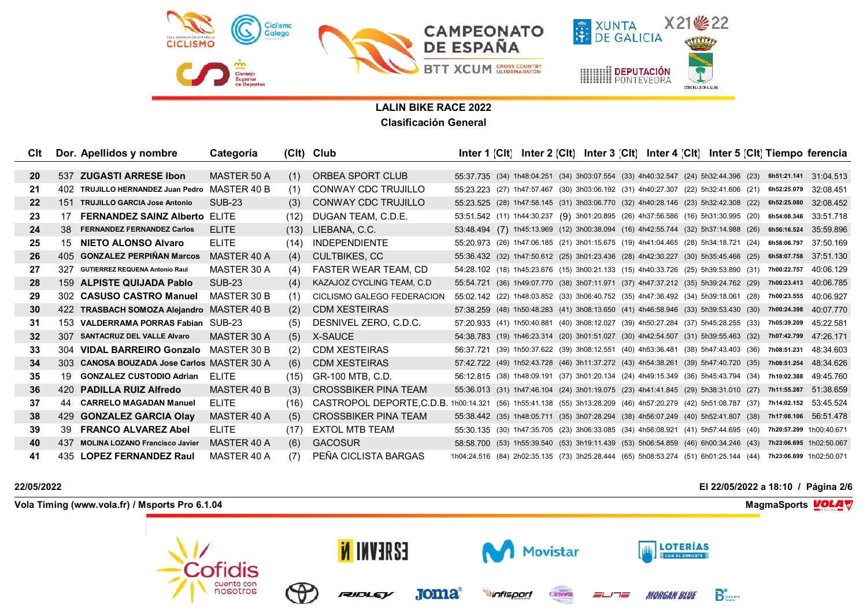

| CIt             |     | Dor. Apellidos y nombre                    | Categoría     |      | (Clt) Club                            |  |  | Inter 1 [CIt] Inter 2 [CIt] Inter 3 [CIt] Inter 4 [CIt] Inter 5 [CIt] Tiempo ferencia                        |  |  |             |           |
|-----------------|-----|--------------------------------------------|---------------|------|---------------------------------------|--|--|--------------------------------------------------------------------------------------------------------------|--|--|-------------|-----------|
|                 |     |                                            |               |      |                                       |  |  |                                                                                                              |  |  |             |           |
| <b>20</b>       |     | 537 ZUGASTI ARRESE Ibon                    | MASTER 50 A   | (1)  | ORBEA SPORT CLUB                      |  |  | 55:37.735 (34) 1h48:04.251 (34) 3h03:07.554 (33) 4h40:32.547 (24) 5h32:44.396 (23) 6h51:21.141 31:04.513     |  |  |             |           |
| 21              | 402 | TRUJILLO HERNANDEZ Juan Pedro              | MASTER 40 B   | (1)  | CONWAY CDC TRUJILLO                   |  |  | 55:23.223 (27) 1h47:57.467 (30) 3h03:06.192 (31) 4h40:27.307 (22) 5h32:41.606 (21)                           |  |  | 6h52:25.079 | 32:08.451 |
| $22 \,$         |     | 151 TRUJILLO GARCIA Jose Antonio           | <b>SUB-23</b> | (3)  | CONWAY CDC TRUJILLO                   |  |  | 55:23.525 (28) 1h47:58.145 (31) 3h03:06.770 (32) 4h40:28.146 (23) 5h32:42.308 (22)                           |  |  | 6h52:25.080 | 32:08.452 |
| 23              | 17  | <b>FERNANDEZ SAINZ Alberto</b>             | <b>ELITE</b>  | (12) | DUGAN TEAM, C.D.E.                    |  |  | 53:51.542 (11) 1h44:30.237 (9) 3h01:20.895 (26) 4h37:56.586 (16) 5h31:30.995 (20) 6h54:08.346                |  |  |             | 33:51.718 |
| 24              |     | 38 FERNANDEZ FERNANDEZ Carlos              | <b>ELITE</b>  | (13) | LIEBANA, C.C.                         |  |  | 53:48.494 (7) 1h45:13.969 (12) 3h00:38.094 (16) 4h42:55.744 (32) 5h37:14.988 (26) 6h56:16.524 35:59.896      |  |  |             |           |
| 25              |     | 15 NIETO ALONSO Alvaro                     | <b>ELITE</b>  | (14) | <b>INDEPENDIENTE</b>                  |  |  | 55:20.973 (26) 1h47:06.185 (21) 3h01:15.675 (19) 4h41:04.465 (28) 5h34:18.721 (24) 6h58:06.797 37:50.169     |  |  |             |           |
| 26              |     | 405 GONZALEZ PERPIÑAN Marcos               | MASTER 40 A   | (4)  | <b>CULTBIKES, CC</b>                  |  |  | 55:36.432 (32) 1h47:50.612 (25) 3h01:23.436 (28) 4h42:30.227 (30) 5h35:45.466 (25) 6h58:07.758 37:51.130     |  |  |             |           |
| 27              | 327 | <b>GUTIERREZ REQUENA Antonio Raul</b>      | MASTER 30 A   | (4)  | <b>FASTER WEAR TEAM, CD</b>           |  |  | 54:28.102 (18) 1h45:23.676 (15) 3h00:21.133 (15) 4h40:33.726 (25) 5h39:53.890 (31) 7h00:22.757 40:06.129     |  |  |             |           |
| 28              |     | 159 ALPISTE QUIJADA Pablo                  | <b>SUB-23</b> | (4)  | KAZAJOZ CYCLING TEAM, C.D.            |  |  | 55:54.721 (36) 1h49:07.770 (38) 3h07:11.971 (37) 4h47:37.212 (35) 5h39:24.762 (29) 7h00:23.413 40:06.785     |  |  |             |           |
| 29              |     | 302 CASUSO CASTRO Manuel                   | MASTER 30 B   | (1)  | CICLISMO GALEGO FEDERACION            |  |  | 55:02.142 (22) 1h48:03.852 (33) 3h06:40.752 (35) 4h47:36.492 (34) 5h39:18.061 (28)                           |  |  | 7h00:23.555 | 40:06.927 |
| 30              |     | 422 TRASBACH SOMOZA Alejandro MASTER 40 B  |               | (2)  | <b>CDM XESTEIRAS</b>                  |  |  | 57:38.259 (48) 1h50:48.283 (41) 3h08:13.650 (41) 4h46:58.946 (33) 5h39:53.430 (30) 7h00:24.398               |  |  |             | 40:07.770 |
| 31              |     | 153 VALDERRAMA PORRAS Fabian SUB-23        |               | (5)  | DESNIVEL ZERO, C.D.C.                 |  |  | 57:20.933 (41) 1h50:40.881 (40) 3h08:12.027 (39) 4h50:27.284 (37) 5h45:28.255 (33) 7h05:39.209               |  |  |             | 45:22.581 |
| 32 <sup>2</sup> |     | 307 SANTACRUZ DEL VALLE Alvaro             | MASTER 30 A   | (5)  | X-SAUCE                               |  |  | 54:38.783 (19) 1h46:23.314 (20) 3h01:51.027 (30) 4h42:54.507 (31) 5h39:55.463 (32) 7h07:42.799 47:26.171     |  |  |             |           |
| 33              |     | 304 VIDAL BARREIRO Gonzalo                 | MASTER 30 B   | (2)  | <b>CDM XESTEIRAS</b>                  |  |  | 56:37.721 (39) 1h50:37.622 (39) 3h08:12.551 (40) 4h53:36.481 (38) 5h47:43.403 (36) 7h08:51.231               |  |  |             | 48:34.603 |
| 34              |     | 303 CANOSA BOUZADA Jose Carlos MASTER 30 A |               | (6)  | <b>CDM XESTEIRAS</b>                  |  |  | 57:42.722 (49) 1h52:43.728 (46) 3h11:37.272 (43) 4h54:38.261 (39) 5h47:40.720 (35) 7h08:51.254 48:34.626     |  |  |             |           |
| 35              |     | 19 GONZALEZ CUSTODIO Adrian                | FLITE.        | (15) | GR-100 MTB, C.D.                      |  |  | 56:12.815 (38) 1h48:09.191 (37) 3h01:20.134 (24) 4h49:15.349 (36) 5h45:43.794 (34) 7h10:02.388               |  |  |             | 49:45.760 |
| 36              |     | 420 PADILLA RUIZ Alfredo                   | MASTER 40 B   | (3)  | <b>CROSSBIKER PINA TEAM</b>           |  |  | 55:36.013 (31) 1h47:46.104 (24) 3h01:19.075 (23) 4h41:41.845 (29) 5h38:31.010 (27) 7h11:55.287               |  |  |             | 51:38.659 |
| 37              |     | 44 CARRELO MAGADAN Manuel                  | FLITE.        | (16) | CASTROPOL DEPORTE, C.D.B. 1h00:14.321 |  |  | (56) 1h55:41.138 (55) 3h13:28.209 (46) 4h57:20.279 (42) 5h51:08.787 (37) 7h14:02.152 53:45.524               |  |  |             |           |
| 38              | 429 | <b>GONZALEZ GARCIA Olay</b>                | MASTER 40 A   | (5)  | <b>CROSSBIKER PINA TEAM</b>           |  |  | 55:38.442 (35) 1h48:05.711 (35) 3h07:28.294 (38) 4h56:07.249 (40) 5h52:41.807 (38) 7h17:08.106 56:51.478     |  |  |             |           |
| 39              | 39  | <b>FRANCO ALVAREZ Abel</b>                 | <b>ELITE</b>  | (17) | <b>EXTOL MTB TEAM</b>                 |  |  | 55:30.135 (30) 1h47:35.705 (23) 3h06:33.085 (34) 4h56:08.921 (41) 5h57:44.695 (40) 7h20:57.299 1h00:40.671   |  |  |             |           |
| 40              | 437 | <b>MOLINA LOZANO Francisco Javier</b>      | MASTER 40 A   | (6)  | <b>GACOSUR</b>                        |  |  | 58:58.700 (53) 1h55:39.540 (53) 3h19:11.439 (53) 5h06:54.859 (46) 6h00:34.246 (43) 7h23:06.695 1h02:50.067   |  |  |             |           |
| 41              |     | 435 LOPEZ FERNANDEZ Raul                   | MASTER 40 A   | (7)  | PEÑA CICLISTA BARGAS                  |  |  | 1h04:24.516 (84) 2h02:35.135 (73) 3h25:28.444 (65) 5h08:53.274 (51) 6h01:25.144 (44) 7h23:06.699 1h02:50.071 |  |  |             |           |

## **22/05/2022 El 22/05/2022 a 18:10 / Página 2/6**

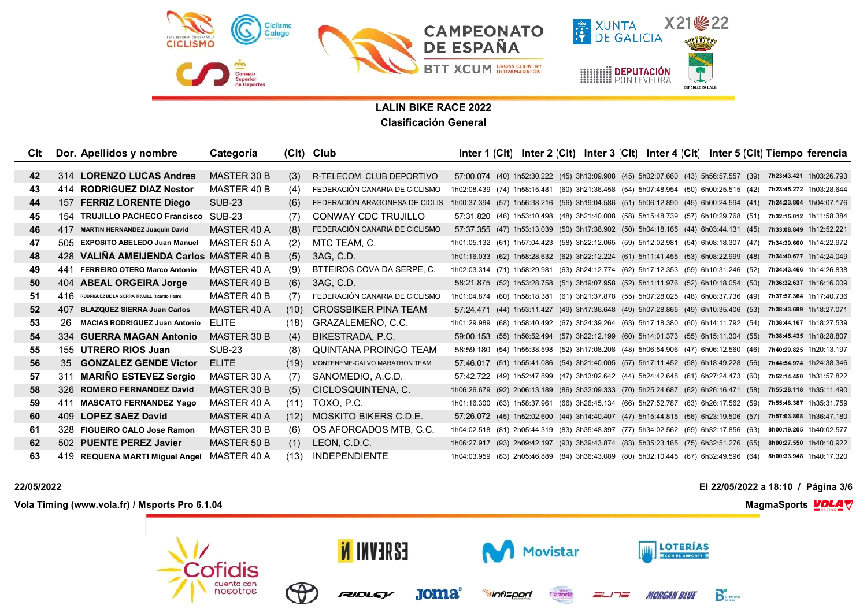

| Clt | Dor. Apellidos y nombre                             | Categoría          |      | (Clt) Club                     |                                                                                                              |  | Inter 1 [Clt] Inter 2 [Clt] Inter 3 [Clt] Inter 4 [Clt] Inter 5 [Clt] Tiempo ferencia                      |  |  |  |                         |
|-----|-----------------------------------------------------|--------------------|------|--------------------------------|--------------------------------------------------------------------------------------------------------------|--|------------------------------------------------------------------------------------------------------------|--|--|--|-------------------------|
|     |                                                     |                    |      |                                |                                                                                                              |  |                                                                                                            |  |  |  |                         |
| 42  | 314 LORENZO LUCAS Andres                            | MASTER 30 B        | (3)  | R-TELECOM CLUB DEPORTIVO       |                                                                                                              |  | 57:00.074 (40) 1h52:30.222 (45) 3h13:09.908 (45) 5h02:07.660 (43) 5h56:57.557 (39) 7h23:43.421 1h03:26.793 |  |  |  |                         |
| 43  | 414 RODRIGUEZ DIAZ Nestor                           | MASTER 40 B        | (4)  | FEDERACIÓN CANARIA DE CICLISMO | 1h02:08.439 (74) 1h58:15.481 (60) 3h21:36.458 (54) 5h07:48.954 (50) 6h00:25.515 (42) 7h23:45.272 1h03:28.644 |  |                                                                                                            |  |  |  |                         |
| 44  | <b>FERRIZ LORENTE Diego</b><br>157                  | <b>SUB-23</b>      | (6)  | FEDERACIÓN ARAGONESA DE CICLIS | 1h00:37.394 (57) 1h56:38.216 (56) 3h19:04.586 (51) 5h06:12.890 (45) 6h00:24.594 (41) 7h24:23.804 1h04:07.176 |  |                                                                                                            |  |  |  |                         |
| 45  | 154 TRUJILLO PACHECO Francisco                      | SUB-23             | (7)  | CONWAY CDC TRUJILLO            |                                                                                                              |  | 57:31.820 (46) 1h53:10.498 (48) 3h21:40.008 (58) 5h15:48.739 (57) 6h10:29.768 (51) 7h32:15.012 1h11:58.384 |  |  |  |                         |
| 46  | 417 MARTIN HERNANDEZ Juaquin David                  | MASTER 40 A        | (8)  | FEDERACIÓN CANARIA DE CICLISMO |                                                                                                              |  | 57:37.355 (47) 1h53:13.039 (50) 3h17:38.902 (50) 5h04:18.165 (44) 6h03:44.131 (45) 7h33:08.849 1h12:52.221 |  |  |  |                         |
| 47  | 505 EXPOSITO ABELEDO Juan Manuel                    | MASTER 50 A        | (2)  | MTC TEAM, C.                   | 1h01:05.132 (61) 1h57:04.423 (58) 3h22:12.065 (59) 5h12:02.981 (54) 6h08:18.307 (47) 7h34:39.600 1h14:22.972 |  |                                                                                                            |  |  |  |                         |
| 48  | 428 VALINA AMEIJENDA Carlos MASTER 40 B             |                    | (5)  | 3AG, C.D.                      | 1h01:16.033 (62) 1h58:28.632 (62) 3h22:12.224 (61) 5h11:41.455 (53) 6h08:22.999 (48) 7h34:40.677 1h14:24.049 |  |                                                                                                            |  |  |  |                         |
| 49  | <b>FERREIRO OTERO Marco Antonio</b><br>441          | MASTER 40 A        | (9)  | BTTEIROS COVA DA SERPE, C.     | 1h02:03.314 (71) 1h58:29.981 (63) 3h24:12.774 (62) 5h17:12.353 (59) 6h10:31.246 (52) 7h34:43.466 1h14:26.838 |  |                                                                                                            |  |  |  |                         |
| 50  | 404 ABEAL ORGEIRA Jorge                             | MASTER 40 B        | (6)  | 3AG. C.D.                      |                                                                                                              |  | 58:21.875 (52) 1h53:28.758 (51) 3h19:07.958 (52) 5h11:11.976 (52) 6h10:18.054 (50) 7h36:32.637 1h16:16.009 |  |  |  |                         |
| 51  | RODRIGUEZ DE LA SIERRA TRUJILL Ricardo Pedro<br>416 | MASTER 40 B        | (7)  | FEDERACIÓN CANARIA DE CICLISMO | 1h01:04.874 (60) 1h58:18.381 (61) 3h21:37.878 (55) 5h07:28.025 (48) 6h08:37.736 (49) 7h37:57.364 1h17:40.736 |  |                                                                                                            |  |  |  |                         |
| 52  | 407 BLAZQUEZ SIERRA Juan Carlos                     | MASTER 40 A        | (10) | <b>CROSSBIKER PINA TEAM</b>    |                                                                                                              |  | 57:24.471 (44) 1h53:11.427 (49) 3h17:36.648 (49) 5h07:28.865 (49) 6h10:35.406 (53) 7h38:43.699 1h18:27.071 |  |  |  |                         |
| 53  | 26<br><b>MACIAS RODRIGUEZ Juan Antonio</b>          | <b>FLITE</b>       | (18) | GRAZALEMEÑO, C.C.              | 1h01:29.989 (68) 1h58:40.492 (67) 3h24:39.264 (63) 5h17:18.380 (60) 6h14:11.792 (54) 7h38:44.167 1h18:27.539 |  |                                                                                                            |  |  |  |                         |
| 54  | 334 GUERRA MAGAN Antonio                            | MASTER 30 B        | (4)  | BIKESTRADA, P.C.               |                                                                                                              |  | 59:00.153 (55) 1h56:52.494 (57) 3h22:12.199 (60) 5h14:01.373 (55) 6h15:11.304 (55) 7h38:45.435 1h18:28.807 |  |  |  |                         |
| 55  | 155 UTRERO RIOS Juan                                | <b>SUB-23</b>      | (8)  | QUINTANA PROINGO TEAM          |                                                                                                              |  | 58:59.180 (54) 1h55:38.598 (52) 3h17:08.208 (48) 5h06:54.906 (47) 6h06:12.560 (46) 7h40:29.825 1h20:13.197 |  |  |  |                         |
| 56  | 35 GONZALEZ GENDE Victor                            | <b>ELITE</b>       | (19) | MONTENEME-CALVO MARATHON TEAM  |                                                                                                              |  | 57:46.017 (51) 1h55:41.086 (54) 3h21:40.005 (57) 5h17:11.452 (58) 6h18:49.228 (56) 7h44:54.974 1h24:38.346 |  |  |  |                         |
| 57  | 311 MARINO ESTEVEZ Sergio                           | MASTER 30 A        | (7)  | SANOMEDIO, A.C.D.              |                                                                                                              |  | 57:42.722 (49) 1h52:47.899 (47) 3h13:02.642 (44) 5h24:42.648 (61) 6h27:24.473 (60) 7h52:14.450 1h31:57.822 |  |  |  |                         |
| 58  | 326 ROMERO FERNANDEZ David                          | MASTER 30 B        | (5)  | CICLOSQUINTENA, C.             | 1h06:26.679 (92) 2h06:13.189 (86) 3h32:09.333 (70) 5h25:24.687 (62) 6h26:16.471 (58) 7h55:28.118 1h35:11.490 |  |                                                                                                            |  |  |  |                         |
| 59  | <b>MASCATO FERNANDEZ Yago</b><br>411                | MASTER 40 A        | (11) | TOXO, P.C.                     | 1h01:16.300 (63) 1h58:37.961 (66) 3h26:45.134 (66) 5h27:52.787 (63) 6h26:17.562 (59)                         |  |                                                                                                            |  |  |  | 7h55:48.387 1h35:31.759 |
| 60  | 409 LOPEZ SAEZ David                                | MASTER 40 A        | (12) | <b>MOSKITO BIKERS C.D.E.</b>   |                                                                                                              |  | 57:26.072 (45) 1h52:02.600 (44) 3h14:40.407 (47) 5h15:44.815 (56) 6h23:19.506 (57) 7h57:03.808 1h36:47.180 |  |  |  |                         |
| -61 | 328 FIGUEIRO CALO Jose Ramon                        | MASTER 30 B        | (6)  | OS AFORCADOS MTB. C.C.         | 1h04:02.518 (81) 2h05:44.319 (83) 3h35:48.397 (77) 5h34:02.562 (69) 6h32:17.856 (63) 8h00:19.205 1h40:02.577 |  |                                                                                                            |  |  |  |                         |
| 62  | 502 PUENTE PEREZ Javier                             | <b>MASTER 50 B</b> | (1)  | LEON, C.D.C.                   | 1h06:27.917 (93) 2h09:42.197 (93) 3h39:43.874 (83) 5h35:23.165 (75) 6h32:51.276 (65) 8h00:27.550 1h40:10.922 |  |                                                                                                            |  |  |  |                         |
| 63  | 419 REQUENA MARTI Miguel Angel                      | MASTER 40 A        | (13) | <b>INDEPENDIENTE</b>           | 1h04:03.959 (83) 2h05:46.889 (84) 3h36:43.089 (80) 5h32:10.445 (67) 6h32:49.596 (64)                         |  |                                                                                                            |  |  |  | 8h00:33.948 1h40:17.320 |

## **22/05/2022 El 22/05/2022 a 18:10 / Página 3/6**

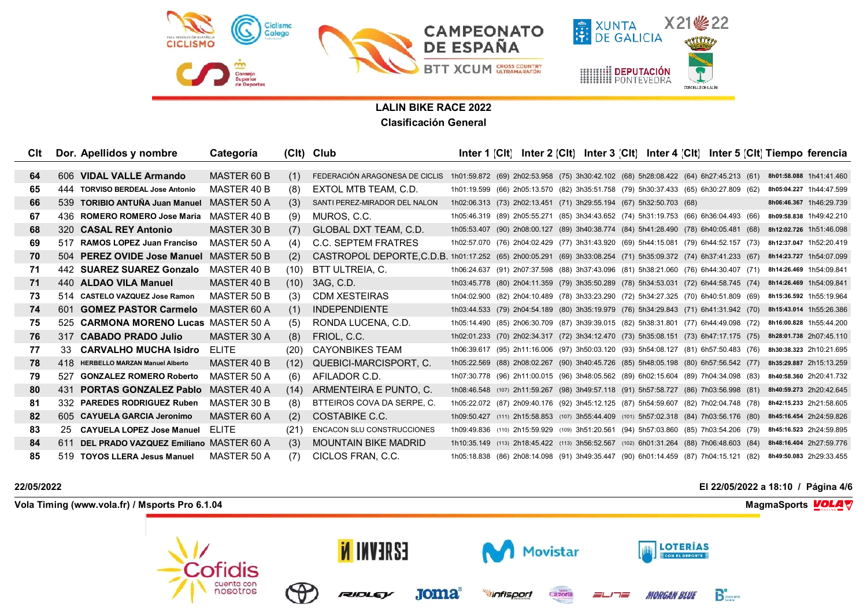

| Clt |     | Dor. Apellidos y nombre                    | Categoría    |      | (Clt) Club                                                                                                          | Inter 1 <b>[C</b> It]                                                                   |  | Inter 2 [CIt] Inter 3 [CIt] Inter 4 [CIt] Inter 5 [CIt] Tiempo ferencia |  |  |                         |  |
|-----|-----|--------------------------------------------|--------------|------|---------------------------------------------------------------------------------------------------------------------|-----------------------------------------------------------------------------------------|--|-------------------------------------------------------------------------|--|--|-------------------------|--|
|     |     |                                            |              |      |                                                                                                                     |                                                                                         |  |                                                                         |  |  |                         |  |
| 64  |     | 606 VIDAL VALLE Armando                    | MASTER 60 B  | (1)  | FEDERACIÓN ARAGONESA DE CICLIS 1h01:59.872 (69) 2h02:53.958 (75) 3h30:42.102 (68) 5h28:08.422 (64) 6h27:45.213 (61) |                                                                                         |  |                                                                         |  |  | 8h01:58.088 1h41:41.460 |  |
| 65  | 444 | <b>TORVISO BERDEAL Jose Antonio</b>        | MASTER 40 B  | (8)  | EXTOL MTB TEAM, C.D.                                                                                                | 1h01:19.599 (66) 2h05:13.570 (82) 3h35:51.758 (79) 5h30:37.433 (65) 6h30:27.809 (62)    |  |                                                                         |  |  | 8h05:04.227 1h44:47.599 |  |
| 66  |     | 539 TORIBIO ANTUÑA Juan Manuel             | MASTER 50 A  | (3)  | SANTI PEREZ-MIRADOR DEL NALON                                                                                       | 1h02:06.313 (73) 2h02:13.451 (71) 3h29:55.194 (67) 5h32:50.703 (68)                     |  |                                                                         |  |  | 8h06:46.367 1h46:29.739 |  |
| 67  |     | 436 ROMERO ROMERO Jose Maria               | MASTER 40 B  | (9)  | MUROS, C.C.                                                                                                         | 1h05:46.319 (89) 2h05:55.271 (85) 3h34:43.652 (74) 5h31:19.753 (66) 6h36:04.493 (66)    |  |                                                                         |  |  | 8h09:58.838 1h49:42.210 |  |
| 68  |     | 320 CASAL REY Antonio                      | MASTER 30 B  | (7)  | <b>GLOBAL DXT TEAM, C.D.</b>                                                                                        | 1h05:53.407 (90) 2h08:00.127 (89) 3h40:38.774 (84) 5h41:28.490 (78) 6h40:05.481 (68)    |  |                                                                         |  |  | 8h12:02.726 1h51:46.098 |  |
| 69  |     | 517 RAMOS LOPEZ Juan Franciso              | MASTER 50 A  | (4)  | C.C. SEPTEM FRATRES                                                                                                 | 1h02:57.070 (76) 2h04:02.429 (77) 3h31:43.920 (69) 5h44:15.081 (79) 6h44:52.157 (73)    |  |                                                                         |  |  | 8h12:37.047 1h52:20.419 |  |
| 70  |     | 504 PEREZ OVIDE Jose Manuel MASTER 50 B    |              | (2)  | CASTROPOL DEPORTE, C.D.B. 1h01:17.252 (65) 2h00:05.291 (69) 3h33:08.254 (71) 5h35:09.372 (74) 6h37:41.233 (67)      |                                                                                         |  |                                                                         |  |  | 8h14:23.727 1h54:07.099 |  |
| 71  |     | 442 SUAREZ SUAREZ Gonzalo                  | MASTER 40 B  | (10) | BTT ULTREIA, C.                                                                                                     | 1h06:24.637 (91) 2h07:37.598 (88) 3h37:43.096 (81) 5h38:21.060 (76) 6h44:30.407 (71)    |  |                                                                         |  |  | 8h14:26.469 1h54:09.841 |  |
| 71  |     | 440 ALDAO VILA Manuel                      | MASTER 40 B  | (10) | 3AG, C.D.                                                                                                           | 1h03:45.778 (80) 2h04:11.359 (79) 3h35:50.289 (78) 5h34:53.031 (72) 6h44:58.745 (74)    |  |                                                                         |  |  | 8h14:26.469 1h54:09.841 |  |
| 73  |     | 514 CASTELO VAZQUEZ Jose Ramon             | MASTER 50 B  | (3)  | <b>CDM XESTEIRAS</b>                                                                                                | 1h04:02.900 (82) 2h04:10.489 (78) 3h33:23.290 (72) 5h34:27.325 (70) 6h40:51.809 (69)    |  |                                                                         |  |  | 8h15:36.592 1h55:19.964 |  |
| 74  | 601 | <b>GOMEZ PASTOR Carmelo</b>                | MASTER 60 A  | (1)  | <b>INDEPENDIENTE</b>                                                                                                | 1h03:44.533 (79) 2h04:54.189 (80) 3h35:19.979 (76) 5h34:29.843 (71) 6h41:31.942 (70)    |  |                                                                         |  |  | 8h15:43.014 1h55:26.386 |  |
| 75  |     | 525 CARMONA MORENO Lucas                   | MASTER 50 A  | (5)  | RONDA LUCENA, C.D.                                                                                                  | 1h05:14.490 (85) 2h06:30.709 (87) 3h39:39.015 (82) 5h38:31.801 (77) 6h44:49.098 (72)    |  |                                                                         |  |  | 8h16:00.828 1h55:44.200 |  |
| 76  |     | 317 CABADO PRADO Julio                     | MASTER 30 A  | (8)  | FRIOL, C.C.                                                                                                         | 1h02:01.233 (70) 2h02:34.317 (72) 3h34:12.470 (73) 5h35:08.151 (73) 6h47:17.175 (75)    |  |                                                                         |  |  | 8h28:01.738 2h07:45.110 |  |
| 77  | 33. | <b>CARVALHO MUCHA Isidro</b>               | FLITE.       | (20) | <b>CAYONBIKES TEAM</b>                                                                                              | 1h06:39.617 (95) 2h11:16.006 (97) 3h50:03.120 (93) 5h54:08.127 (81) 6h57:50.483 (76)    |  |                                                                         |  |  | 8h30:38.323 2h10:21.695 |  |
| 78  |     | 418 HERBELLO MARZAN Manuel Alberto         | MASTER 40 B  | (12) | QUEBICI-MARCISPORT, C.                                                                                              | 1h05:22.569 (88) 2h08:02.267 (90) 3h40:45.726 (85) 5h48:05.198 (80) 6h57:56.542 (77)    |  |                                                                         |  |  | 8h35:29.887 2h15:13.259 |  |
| 79  | 527 | <b>GONZALEZ ROMERO Roberto</b>             | MASTER 50 A  | (6)  | AFILADOR C.D.                                                                                                       | 1h07:30.778 (96) 2h11:00.015 (96) 3h48:05.562 (89) 6h02:15.604 (89) 7h04:34.098 (83)    |  |                                                                         |  |  | 8h40:58.360 2h20:41.732 |  |
| 80  | 431 | <b>PORTAS GONZALEZ Pablo</b>               | MASTER 40 A  | (14) | ARMENTEIRA E PUNTO, C.                                                                                              | 1h08:46.548 (107) 2h11:59.267 (98) 3h49:57.118 (91) 5h57:58.727 (86) 7h03:56.998 (81)   |  |                                                                         |  |  | 8h40:59.273 2h20:42.645 |  |
| 81  |     | 332 PAREDES RODRIGUEZ Ruben                | MASTER 30 B  | (8)  | BTTEIROS COVA DA SERPE, C.                                                                                          | 1h05:22.072 (87) 2h09:40.176 (92) 3h45:12.125 (87) 5h54:59.607 (82) 7h02:04.748 (78)    |  |                                                                         |  |  | 8h42:15.233 2h21:58.605 |  |
| 82  |     | 605 CAYUELA GARCIA Jeronimo                | MASTER 60 A  | (2)  | COSTABIKE C.C.                                                                                                      | 1h09:50.427 (111) 2h15:58.853 (107) 3h55:44.409 (101) 5h57:02.318 (84) 7h03:56.176 (80) |  |                                                                         |  |  | 8h45:16.454 2h24:59.826 |  |
| 83  |     | 25 CAYUELA LOPEZ Jose Manuel               | <b>FLITE</b> | (21) | ENCACON SLU CONSTRUCCIONES                                                                                          | 1h09:49.836 (110) 2h15:59.929 (109) 3h51:20.561 (94) 5h57:03.860 (85) 7h03:54.206 (79)  |  |                                                                         |  |  | 8h45:16.523 2h24:59.895 |  |
| 84  |     | 611 DEL PRADO VAZQUEZ Emiliano MASTER 60 A |              | (3)  | <b>MOUNTAIN BIKE MADRID</b>                                                                                         | 1h10:35.149 (113) 2h18:45.422 (113) 3h56:52.567 (102) 6h01:31.264 (88) 7h06:48.603 (84) |  |                                                                         |  |  | 8h48:16.404 2h27:59.776 |  |
| 85  |     | 519 TOYOS LLERA Jesus Manuel               | MASTER 50 A  | (7)  | CICLOS FRAN, C.C.                                                                                                   | 1h05:18.838 (86) 2h08:14.098 (91) 3h49:35.447 (90) 6h01:14.459 (87) 7h04:15.121 (82)    |  |                                                                         |  |  | 8h49:50.083 2h29:33.455 |  |

## **22/05/2022 El 22/05/2022 a 18:10 / Página 4/6**

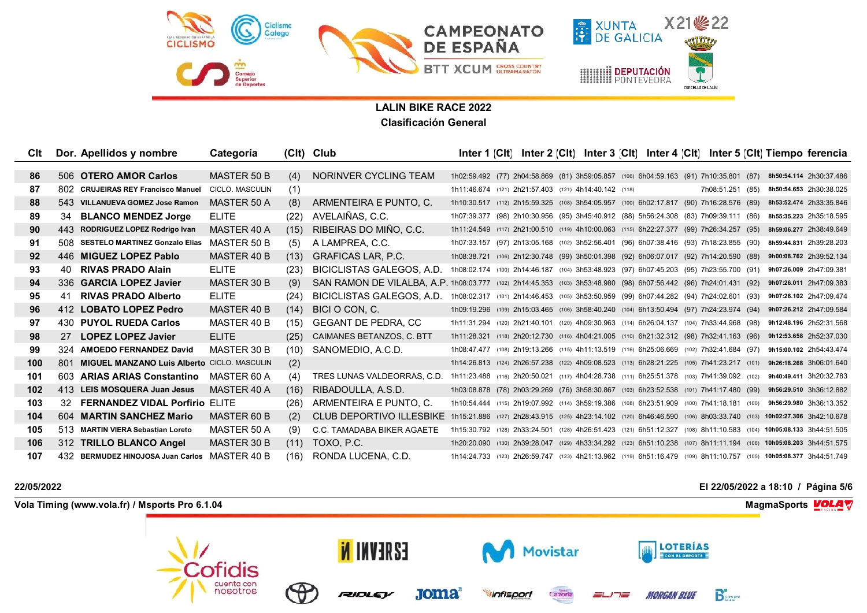

| Clt |     | Dor. Apellidos y nombre                            | Categoría       |      | (Clt) Club                                                                                                        | Inter 1 <b>[C</b> It]                                                                                              |  |  |  |                  | Inter 2 [CIt] Inter 3 [CIt] Inter 4 [CIt] Inter 5 [CIt] Tiempo ferencia                                            |  |
|-----|-----|----------------------------------------------------|-----------------|------|-------------------------------------------------------------------------------------------------------------------|--------------------------------------------------------------------------------------------------------------------|--|--|--|------------------|--------------------------------------------------------------------------------------------------------------------|--|
|     |     |                                                    |                 |      |                                                                                                                   |                                                                                                                    |  |  |  |                  |                                                                                                                    |  |
| 86  |     | 506 OTERO AMOR Carlos                              | MASTER 50 B     | (4)  | NORINVER CYCLING TEAM                                                                                             | 1h02:59.492 (77) 2h04:58.869 (81) 3h59:05.857 (106) 6h04:59.163 (91) 7h10:35.801 (87)                              |  |  |  |                  | 8h50:54.114 2h30:37.486                                                                                            |  |
| 87  | 802 | <b>CRUJEIRAS REY Francisco Manuel</b>              | CICLO. MASCULIN | (1)  |                                                                                                                   | 1h11:46.674 (121) 2h21:57.403 (121) 4h14:40.142 (118)                                                              |  |  |  | 7h08:51.251 (85) | 8h50:54.653 2h30:38.025                                                                                            |  |
| 88  |     | 543 VILLANUEVA GOMEZ Jose Ramon                    | MASTER 50 A     | (8)  | ARMENTEIRA E PUNTO, C.                                                                                            | 1h10:30.517 (112) 2h15:59.325 (108) 3h54:05.957 (100) 6h02:17.817 (90) 7h16:28.576 (89)                            |  |  |  |                  | 8h53:52.474 2h33:35.846                                                                                            |  |
| 89  | 34  | <b>BLANCO MENDEZ Jorge</b>                         | <b>ELITE</b>    | (22) | AVELAIÑAS, C.C.                                                                                                   | 1h07:39.377 (98) 2h10:30.956 (95) 3h45:40.912 (88) 5h56:24.308 (83) 7h09:39.111 (86)                               |  |  |  |                  | 8h55:35.223 2h35:18.595                                                                                            |  |
| 90  |     | 443 RODRIGUEZ LOPEZ Rodrigo Ivan                   | MASTER 40 A     | (15) | RIBEIRAS DO MIÑO. C.C.                                                                                            | 1h11:24.549 (117) 2h21:00.510 (119) 4h10:00.063 (115) 6h22:27.377 (99) 7h26:34.257 (95)                            |  |  |  |                  | 8h59:06.277 2h38:49.649                                                                                            |  |
| 91  |     | 508 SESTELO MARTINEZ Gonzalo Elias                 | MASTER 50 B     | (5)  | A LAMPREA, C.C.                                                                                                   | 1h07:33.157 (97) 2h13:05.168 (102) 3h52:56.401 (96) 6h07:38.416 (93) 7h18:23.855 (90)                              |  |  |  |                  | 8h59:44.831 2h39:28.203                                                                                            |  |
| 92  |     | 446 MIGUEZ LOPEZ Pablo                             | MASTER 40 B     | (13) | <b>GRAFICAS LAR, P.C.</b>                                                                                         | 1h08:38.721 (106) 2h12:30.748 (99) 3h50:01.398 (92) 6h06:07.017 (92) 7h14:20.590 (88)                              |  |  |  |                  | 9h00:08.762 2h39:52.134                                                                                            |  |
| 93  | 40  | <b>RIVAS PRADO Alain</b>                           | <b>ELITE</b>    | (23) | BICICLISTAS GALEGOS, A.D.                                                                                         | 1h08:02.174 (100) 2h14:46.187 (104) 3h53:48.923 (97) 6h07:45.203 (95) 7h23:55.700 (91)                             |  |  |  |                  | 9h07:26.009 2h47:09.381                                                                                            |  |
| 94  |     | 336 GARCIA LOPEZ Javier                            | MASTER 30 B     | (9)  | SAN RAMON DE VILALBA, A.P. 1h08:03.777 (102) 2h14:45.353 (103) 3h53:48.980 (98) 6h07:56.442 (96) 7h24:01.431 (92) |                                                                                                                    |  |  |  |                  | 9h07:26.011 2h47:09.383                                                                                            |  |
| 95  | 41  | <b>RIVAS PRADO Alberto</b>                         | <b>ELITE</b>    | (24) | BICICLISTAS GALEGOS, A.D.                                                                                         | 1h08:02.317 (101) 2h14:46.453 (105) 3h53:50.959 (99) 6h07:44.282 (94) 7h24:02.601 (93)                             |  |  |  |                  | 9h07:26.102 2h47:09.474                                                                                            |  |
| 96  |     | 412 LOBATO LOPEZ Pedro                             | MASTER 40 B     | (14) | BICI O CON, C.                                                                                                    | 1h09:19.296 (109) 2h15:03.465 (106) 3h58:40.240 (104) 6h13:50.494 (97) 7h24:23.974 (94)                            |  |  |  |                  | 9h07:26.212 2h47:09.584                                                                                            |  |
| 97  |     | 430 PUYOL RUEDA Carlos                             | MASTER 40 B     | (15) | <b>GEGANT DE PEDRA, CC</b>                                                                                        | 1h11:31.294 (120) 2h21:40.101 (120) 4h09:30.963 (114) 6h26:04.137 (104) 7h33:44.968 (98)                           |  |  |  |                  | 9h12:48.196 2h52:31.568                                                                                            |  |
| 98  | -27 | <b>LOPEZ LOPEZ Javier</b>                          | <b>ELITE</b>    | (25) | CAIMANES BETANZOS, C. BTT                                                                                         | 1h11:28.321 (118) 2h20:12.730 (116) 4h04:21.005 (110) 6h21:32.312 (98) 7h32:41.163 (96)                            |  |  |  |                  | 9h12:53.658 2h52:37.030                                                                                            |  |
| 99  |     | 324 AMOEDO FERNANDEZ David                         | MASTER 30 B     | (10) | SANOMEDIO, A.C.D.                                                                                                 | 1h08:47.477 (108) 2h19:13.266 (115) 4h11:13.519 (116) 6h25:06.669 (102) 7h32:41.684 (97)                           |  |  |  |                  | 9h15:00.102 2h54:43.474                                                                                            |  |
| 100 | 801 | <b>MIGUEL MANZANO Luis Alberto CICLO. MASCULIN</b> |                 | (2)  |                                                                                                                   | 1h14:26.813 (124) 2h26:57.238 (122) 4h09:08.523 (113) 6h28:21.225 (105) 7h41:23.217 (101)                          |  |  |  |                  | 9h26:18.268 3h06:01.640                                                                                            |  |
| 101 |     | 603 ARIAS ARIAS Constantino                        | MASTER 60 A     | (4)  | TRES LUNAS VALDEORRAS, C.D.                                                                                       | 1h11:23.488 (116) 2h20:50.021 (117) 4h04:28.738 (111) 6h25:51.378 (103) 7h41:39.092 (102)                          |  |  |  |                  | 9h40:49.411 3h20:32.783                                                                                            |  |
| 102 |     | 413 LEIS MOSQUERA Juan Jesus                       | MASTER 40 A     | (16) | RIBADOULLA, A.S.D.                                                                                                | 1h03:08.878 (78) 2h03:29.269 (76) 3h58:30.867 (103) 6h23:52.538 (101) 7h41:17.480 (99)                             |  |  |  |                  | 9h56:29.510 3h36:12.882                                                                                            |  |
| 103 | 32  | <b>FERNANDEZ VIDAL Porfirio ELITE</b>              |                 | (26) | ARMENTEIRA E PUNTO, C.                                                                                            |                                                                                                                    |  |  |  |                  | 1h10:54.444 (115) 2h19:07.992 (114) 3h59:19.386 (108) 6h23:51.909 (100) 7h41:18.181 (100) 9h56:29.980 3h36:13.352  |  |
| 104 | 604 | <b>MARTIN SANCHEZ Mario</b>                        | MASTER 60 B     | (2)  | <b>CLUB DEPORTIVO ILLESBIKE</b>                                                                                   |                                                                                                                    |  |  |  |                  | 1h15:21.886 (127) 2h28:43.915 (125) 4h23:14.102 (120) 6h46:46.590 (106) 8h03:33.740 (103) 10h02:27.306 3h42:10.678 |  |
| 105 |     | 513 MARTIN VIERA Sebastian Loreto                  | MASTER 50 A     | (9)  | C.C. TAMADABA BIKER AGAETE                                                                                        | 1h15:30.792 (128) 2h33:24.501 (128) 4h26:51.423 (121) 6h51:12.327 (108) 8h11:10.583 (104) 10h05:08.133 3h44:51.505 |  |  |  |                  |                                                                                                                    |  |
| 106 |     | 312 TRILLO BLANCO Angel                            | MASTER 30 B     | (11) | TOXO, P.C.                                                                                                        |                                                                                                                    |  |  |  |                  | 1h20:20.090 (130) 2h39:28.047 (129) 4h33:34.292 (123) 6h51:10.238 (107) 8h11:11.194 (106) 10h05:08.203 3h44:51.575 |  |
| 107 |     | 432 BERMUDEZ HINOJOSA Juan Carlos                  | MASTER 40 B     | (16) | RONDA LUCENA, C.D.                                                                                                |                                                                                                                    |  |  |  |                  | 1h14:24.733 (123) 2h26:59.747 (123) 4h21:13.962 (119) 6h51:16.479 (109) 8h11:10.757 (105) 10h05:08.377 3h44:51.749 |  |

## **22/05/2022 El 22/05/2022 a 18:10 / Página 5/6**